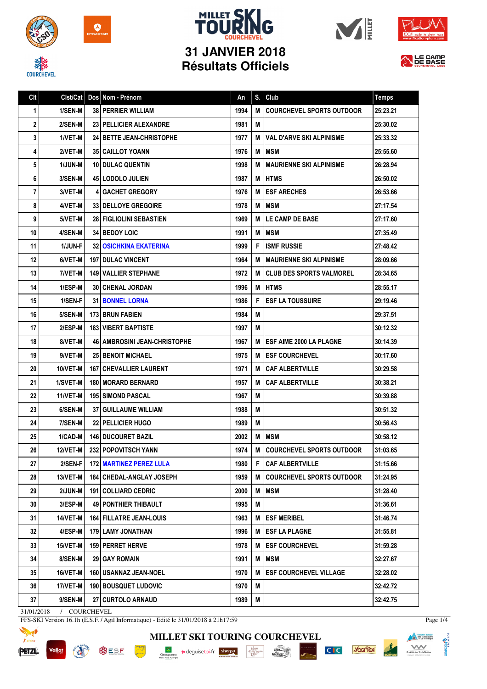

**COURCHEVEL** 











| Clt | Clst/Cat | Dos Nom - Prénom                      | An   | S. | Club                             | <b>Temps</b> |
|-----|----------|---------------------------------------|------|----|----------------------------------|--------------|
| 1   | 1/SEN-M  | <b>38 PERRIER WILLIAM</b>             | 1994 | M  | <b>COURCHEVEL SPORTS OUTDOOR</b> | 25:23.21     |
| 2   | 2/SEN-M  | <b>23   PELLICIER ALEXANDRE</b>       | 1981 | M  |                                  | 25:30.02     |
| 3   | 1/VET-M  | <b>24 I BETTE JEAN-CHRISTOPHE</b>     | 1977 | M  | VAL D'ARVE SKI ALPINISME         | 25:33.32     |
| 4   | 2/VET-M  | <b>35 CAILLOT YOANN</b>               | 1976 | M  | <b>IMSM</b>                      | 25:55.60     |
| 5   | 1/JUN-M  | <b>10 DULAC QUENTIN</b>               | 1998 | M  | I MAURIENNE SKI ALPINISME        | 26:28.94     |
| 6   | 3/SEN-M  | <b>45 LODOLO JULIEN</b>               | 1987 | M  | <b>I HTMS</b>                    | 26:50.02     |
| 7   | 3/VET-M  | <b>41 GACHET GREGORY</b>              | 1976 | M  | <b>IESF ARECHES</b>              | 26:53.66     |
| 8   | 4/VET-M  | <b>33   DELLOYE GREGOIRE</b>          | 1978 | M  | <b>MSM</b>                       | 27:17.54     |
| 9   | 5/VET-M  | <b>28 FIGLIOLINI SEBASTIEN</b>        | 1969 | M  | <b>LE CAMP DE BASE</b>           | 27:17.60     |
| 10  | 4/SEN-M  | <b>34 I BEDOY LOIC</b>                | 1991 | M  | <b>IMSM</b>                      | 27:35.49     |
| 11  | 1/JUN-F  | 32 OSICHKINA EKATERINA                | 1999 | F  | <b>ISMF RUSSIE</b>               | 27:48.42     |
| 12  | 6/VET-M  | <b>197   DULAC VINCENT</b>            | 1964 | м  | <b>MAURIENNE SKI ALPINISME</b>   | 28:09.66     |
| 13  | 7/VET-M  | <b>149 VALLIER STEPHANE</b>           | 1972 | м  | <b>ICLUB DES SPORTS VALMOREL</b> | 28:34.65     |
| 14  | 1/ESP-M  | <b>30   CHENAL JORDAN</b>             | 1996 |    | <b>MIHTMS</b>                    | 28:55.17     |
| 15  | 1/SEN-F  | <b>31   BONNEL LORNA</b>              | 1986 | F  | <b>ESF LA TOUSSUIRE</b>          | 29:19.46     |
| 16  | 5/SEN-M  | <b>173 BRUN FABIEN</b>                | 1984 | M  |                                  | 29:37.51     |
| 17  | 2/ESP-M  | <b>183 VIBERT BAPTISTE</b>            | 1997 | M  |                                  | 30:12.32     |
| 18  | 8/VET-M  | <b>46   AMBROSINI JEAN-CHRISTOPHE</b> | 1967 | M  | <b>IESF AIME 2000 LA PLAGNE</b>  | 30:14.39     |
| 19  | 9/VET-M  | <b>25 I BENOIT MICHAEL</b>            | 1975 | M  | <b>I ESF COURCHEVEL</b>          | 30:17.60     |
| 20  | 10/VET-M | <b>167   CHEVALLIER LAURENT</b>       | 1971 | м  | <b>I CAF ALBERTVILLE</b>         | 30:29.58     |
| 21  | 1/SVET-M | 180 MORARD BERNARD                    | 1957 | M  | <b>CAF ALBERTVILLE</b>           | 30:38.21     |
| 22  | 11/VET-M | <b>195   SIMOND PASCAL</b>            | 1967 | M  |                                  | 30:39.88     |
| 23  | 6/SEN-M  | <b>37 GUILLAUME WILLIAM</b>           | 1988 | M  |                                  | 30:51.32     |
| 24  | 7/SEN-M  | 22 PELLICIER HUGO                     | 1989 | M  |                                  | 30:56.43     |
| 25  | 1/CAD-M  | <b>146   DUCOURET BAZIL</b>           | 2002 | M  | <b>IMSM</b>                      | 30:58.12     |
| 26  | 12/VET-M | 232 POPOVITSCH YANN                   | 1974 | M  | <b>COURCHEVEL SPORTS OUTDOOR</b> | 31:03.65     |
| 27  | 2/SEN-F  | <b>172 MARTINEZ PEREZ LULA</b>        | 1980 | F  | <b>CAF ALBERTVILLE</b>           | 31:15.66     |
| 28  | 13/VET-M | 184 CHEDAL-ANGLAY JOSEPH              | 1959 | м  | <b>COURCHEVEL SPORTS OUTDOOR</b> | 31:24.95     |
| 29  | 2/JUN-M  | 191   COLLIARD CEDRIC                 | 2000 | M  | <b>MSM</b>                       | 31:28.40     |
| 30  | 3/ESP-M  | <b>49 PONTHIER THIBAULT</b>           | 1995 | M  |                                  | 31:36.61     |
| 31  | 14/VET-M | <b>164   FILLATRE JEAN-LOUIS</b>      | 1963 | M  | <b>ESF MERIBEL</b>               | 31:46.74     |
| 32  | 4/ESP-M  | 179   LAMY JONATHAN                   | 1996 | M  | <b>ESF LA PLAGNE</b>             | 31:55.81     |
| 33  | 15/VET-M | 159 PERRET HERVE                      | 1978 | M  | <b>ESF COURCHEVEL</b>            | 31:59.28     |
| 34  | 8/SEN-M  | 29 GAY ROMAIN                         | 1991 | M  | <b>MSM</b>                       | 32:27.67     |
| 35  | 16/VET-M | 160 USANNAZ JEAN-NOEL                 | 1970 | M  | <b>ESF COURCHEVEL VILLAGE</b>    | 32:28.02     |
| 36  | 17/VET-M | <b>190   BOUSQUET LUDOVIC</b>         | 1970 | M  |                                  | 32:42.72     |
| 37  | 9/SEN-M  | <b>27   CURTOLO ARNAUD</b>            | 1989 | M  |                                  | 32:42.75     |

31/01/2018 / COURCHEVEL

Vallat

FFS-SKI Version 16.1h (E.S.F. / Agil Informatique) - Edité le 31/01/2018 à 21h17:59



**BUSF PARK ASSES** 

**MILLET SKI TOURING COURCHEVEL** Groupama **a**deguisetoi.fr **sherpa**  $\frac{\text{chez}}{\text{Cauchy}}$  $\begin{array}{c}\n\hline\n\text{I}\Lambda\text{BU} \\
\text{MP} \text{GRND} \\
\text{PR} \end{array}$ 

C<sub>IC</sub> you'lea



Page 1/4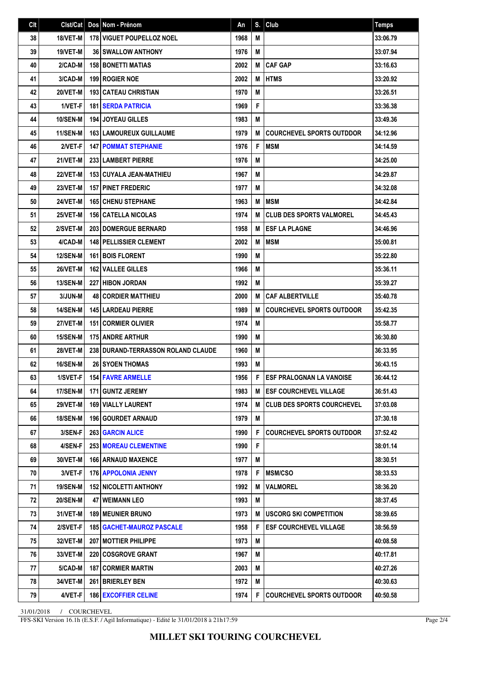| Clt | Clst/Cat        | Dos Nom - Prénom                   | An   | S. | Club                              | <b>Temps</b> |
|-----|-----------------|------------------------------------|------|----|-----------------------------------|--------------|
| 38  | 18/VET-M        | 178 VIGUET POUPELLOZ NOEL          | 1968 | M  |                                   | 33:06.79     |
| 39  | 19/VET-M        | <b>36 SWALLOW ANTHONY</b>          | 1976 | M  |                                   | 33:07.94     |
| 40  | 2/CAD-M         | <b>158 BONETTI MATIAS</b>          | 2002 | M  | <b>CAF GAP</b>                    | 33:16.63     |
| 41  | 3/CAD-M         | 199 ROGIER NOE                     | 2002 | M  | <b>HTMS</b>                       | 33:20.92     |
| 42  | 20/VET-M        | <b>193 CATEAU CHRISTIAN</b>        | 1970 | M  |                                   | 33:26.51     |
| 43  | 1/VET-F         | <b>181 SERDA PATRICIA</b>          | 1969 | F  |                                   | 33:36.38     |
| 44  | <b>10/SEN-M</b> | <b>194 JOYEAU GILLES</b>           | 1983 | M  |                                   | 33:49.36     |
| 45  | <b>11/SEN-M</b> | <b>163   LAMOUREUX GUILLAUME</b>   | 1979 | M  | <b>COURCHEVEL SPORTS OUTDDOR</b>  | 34:12.96     |
| 46  | 2/VET-F         | <b>147 POMMAT STEPHANIE</b>        | 1976 | F  | <b>MSM</b>                        | 34:14.59     |
| 47  | 21/VET-M        | <b>233 LAMBERT PIERRE</b>          | 1976 | M  |                                   | 34:25.00     |
| 48  | 22/VET-M        | <b>153   CUYALA JEAN-MATHIEU</b>   | 1967 | M  |                                   | 34:29.87     |
| 49  | 23/VET-M        | <b>157 PINET FREDERIC</b>          | 1977 | M  |                                   | 34:32.08     |
| 50  | 24/VET-M        | <b>165 CHENU STEPHANE</b>          | 1963 | M  | <b>IMSM</b>                       | 34:42.84     |
| 51  | 25/VET-M        | <b>156 CATELLA NICOLAS</b>         | 1974 | M  | <b>CLUB DES SPORTS VALMOREL</b>   | 34:45.43     |
| 52  | 2/SVET-M        | <b>203 DOMERGUE BERNARD</b>        | 1958 | M  | <b>ESF LA PLAGNE</b>              | 34:46.96     |
| 53  | 4/CAD-M         | <b>148 PELLISSIER CLEMENT</b>      | 2002 | M  | <b>MSM</b>                        | 35:00.81     |
| 54  | <b>12/SEN-M</b> | <b>161 BOIS FLORENT</b>            | 1990 | M  |                                   | 35:22.80     |
| 55  | 26/VET-M        | 162 VALLEE GILLES                  | 1966 | M  |                                   | 35:36.11     |
| 56  | <b>13/SEN-M</b> | <b>227 HIBON JORDAN</b>            | 1992 | Μ  |                                   | 35:39.27     |
| 57  | 3/JUN-M         | <b>48 CORDIER MATTHIEU</b>         | 2000 | M  | <b>CAF ALBERTVILLE</b>            | 35:40.78     |
| 58  | <b>14/SEN-M</b> | <b>145 LARDEAU PIERRE</b>          | 1989 | M  | <b>COURCHEVEL SPORTS OUTDOOR</b>  | 35:42.35     |
| 59  | 27/VET-M        | <b>151 CORMIER OLIVIER</b>         | 1974 | M  |                                   | 35:58.77     |
| 60  | 15/SEN-M        | <b>175 ANDRE ARTHUR</b>            | 1990 | M  |                                   | 36:30.80     |
| 61  | 28/VET-M        | 238 DURAND-TERRASSON ROLAND CLAUDE | 1960 | M  |                                   | 36:33.95     |
| 62  | <b>16/SEN-M</b> | <b>26 SYOEN THOMAS</b>             | 1993 | M  |                                   | 36:43.15     |
| 63  | 1/SVET-F        | <b>154 FAVRE ARMELLE</b>           | 1956 | F  | <b>ESF PRALOGNAN LA VANOISE</b>   | 36:44.12     |
| 64  | 17/SEN-M        | 171 GUNTZ JEREMY                   | 1983 |    | M <b>LESF COURCHEVEL VILLAGE</b>  | 36:51.43     |
| 65  | <b>29/VET-M</b> | <b>169   VIALLY LAURENT</b>        | 1974 | М  | <b>CLUB DES SPORTS COURCHEVEL</b> | 37:03.08     |
| 66  | <b>18/SEN-M</b> | 196 GOURDET ARNAUD                 | 1979 | M  |                                   | 37:30.18     |
| 67  | 3/SEN-F         | <b>263 GARCIN ALICE</b>            | 1990 | F  | <b>COURCHEVEL SPORTS OUTDDOR</b>  | 37:52.42     |
| 68  | 4/SEN-F         | <b>253 MOREAU CLEMENTINE</b>       | 1990 | F  |                                   | 38:01.14     |
| 69  | 30/VET-M        | <b>166   ARNAUD MAXENCE</b>        | 1977 | Μ  |                                   | 38:30.51     |
| 70  | 3/VET-F         | <b>176   APPOLONIA JENNY</b>       | 1978 | F  | <b>MSM/CSO</b>                    | 38:33.53     |
| 71  | <b>19/SEN-M</b> | <b>152 NICOLETTI ANTHONY</b>       | 1992 | M  | VALMOREL                          | 38:36.20     |
| 72  | <b>20/SEN-M</b> | 47 WEIMANN LEO                     | 1993 | M  |                                   | 38:37.45     |
| 73  | 31/VET-M        | <b>189   MEUNIER BRUNO</b>         | 1973 | M  | <b>USCORG SKI COMPETITION</b>     | 38:39.65     |
| 74  | 2/SVET-F        | <b>185   GACHET-MAUROZ PASCALE</b> | 1958 | F  | <b>ESF COURCHEVEL VILLAGE</b>     | 38:56.59     |
| 75  | 32/VET-M        | <b>207   MOTTIER PHILIPPE</b>      | 1973 | M  |                                   | 40:08.58     |
| 76  | 33/VET-M        | <b>220 COSGROVE GRANT</b>          | 1967 | M  |                                   | 40:17.81     |
| 77  | 5/CAD-M         | <b>187 CORMIER MARTIN</b>          | 2003 | Μ  |                                   | 40:27.26     |
| 78  | 34/VET-M        | 261 BRIERLEY BEN                   | 1972 | Μ  |                                   | 40:30.63     |
| 79  | 4/VET-F         | <b>186 EXCOFFIER CELINE</b>        | 1974 | F  | <b>COURCHEVEL SPORTS OUTDOOR</b>  | 40:50.58     |

31/01/2018 / COURCHEVEL

FFS-SKI Version 16.1h (E.S.F. / Agil Informatique) - Edité le 31/01/2018 à 21h17:59

Page 2/4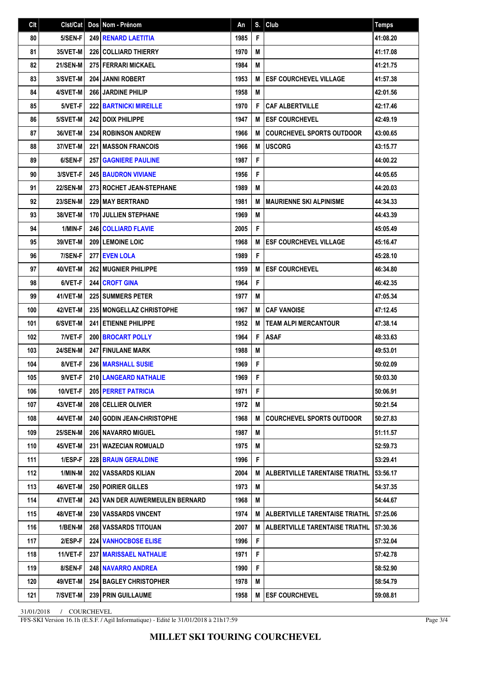| C <sub>It</sub> | Clst/Cat        | Dos Nom - Prénom                 | An   | S. | Club                             | <b>Temps</b> |
|-----------------|-----------------|----------------------------------|------|----|----------------------------------|--------------|
| 80              | 5/SEN-F         | <b>249 RENARD LAETITIA</b>       | 1985 | F  |                                  | 41:08.20     |
| 81              | <b>35/VET-M</b> | <b>226 COLLIARD THIERRY</b>      | 1970 | M  |                                  | 41:17.08     |
| 82              | <b>21/SEN-M</b> | <b>275 FERRARI MICKAEL</b>       | 1984 | M  |                                  | 41:21.75     |
| 83              | 3/SVET-M        | <b>204 JANNI ROBERT</b>          | 1953 | M  | <b>ESF COURCHEVEL VILLAGE</b>    | 41:57.38     |
| 84              | 4/SVET-M        | 266 JARDINE PHILIP               | 1958 | M  |                                  | 42:01.56     |
| 85              | 5/VET-F         | <b>222 BARTNICKI MIREILLE</b>    | 1970 | F  | <b>CAF ALBERTVILLE</b>           | 42:17.46     |
| 86              | 5/SVET-M        | 242 DOIX PHILIPPE                | 1947 | M  | <b>ESF COURCHEVEL</b>            | 42:49.19     |
| 87              | 36/VET-M        | <b>234 ROBINSON ANDREW</b>       | 1966 | M  | <b>COURCHEVEL SPORTS OUTDOOR</b> | 43:00.65     |
| 88              | 37/VET-M        | <b>221 IMASSON FRANCOIS</b>      | 1966 | M  | <b>USCORG</b>                    | 43:15.77     |
| 89              | 6/SEN-F         | <b>257   GAGNIERE PAULINE</b>    | 1987 | F  |                                  | 44:00.22     |
| 90              | 3/SVET-F        | <b>245 BAUDRON VIVIANE</b>       | 1956 | F  |                                  | 44:05.65     |
| 91              | <b>22/SEN-M</b> | 273 ROCHET JEAN-STEPHANE         | 1989 | M  |                                  | 44:20.03     |
| 92              | <b>23/SEN-M</b> | <b>229 MAY BERTRAND</b>          | 1981 | М  | <b>MAURIENNE SKI ALPINISME</b>   | 44:34.33     |
| 93              | 38/VET-M        | <b>170 JULLIEN STEPHANE</b>      | 1969 | M  |                                  | 44:43.39     |
| 94              | 1/MIN-F         | <b>246 COLLIARD FLAVIE</b>       | 2005 | F  |                                  | 45:05.49     |
| 95              | 39/VET-M        | 209 LEMOINE LOIC                 | 1968 | M  | <b>ESF COURCHEVEL VILLAGE</b>    | 45:16.47     |
| 96              | 7/SEN-F         | 277 EVEN LOLA                    | 1989 | F  |                                  | 45:28.10     |
| 97              | 40/VET-M        | 262 MUGNIER PHILIPPE             | 1959 | M  | <b>ESF COURCHEVEL</b>            | 46:34.80     |
| 98              | 6/VET-F         | <b>244 CROFT GINA</b>            | 1964 | F  |                                  | 46:42.35     |
| 99              | 41/VET-M        | <b>225 SUMMERS PETER</b>         | 1977 | M  |                                  | 47:05.34     |
| 100             | 42/VET-M        | 235   MONGELLAZ CHRISTOPHE       | 1967 | M  | <b>CAF VANOISE</b>               | 47:12.45     |
| 101             | 6/SVET-M        | <b>241 ETIENNE PHILIPPE</b>      | 1952 | M  | <b>TEAM ALPI MERCANTOUR</b>      | 47:38.14     |
| 102             | 7/VET-F         | 200 BROCART POLLY                | 1964 | F  | <b>ASAF</b>                      | 48:33.63     |
| 103             | <b>24/SEN-M</b> | <b>247 FINULANE MARK</b>         | 1988 | M  |                                  | 49:53.01     |
| 104             | 8/VET-F         | 236 MARSHALL SUSIE               | 1969 | F  |                                  | 50:02.09     |
| 105             | 9/VET-F         | 210 LANGEARD NATHALIE            | 1969 | F  |                                  | 50:03.30     |
| 106             | 10/VET-F        | 205 PERRET PATRICIA              | 1971 | F  |                                  | 50:06.91     |
| 107             | 43/VET-M        | 208 CELLIER OLIVIER              | 1972 | M  |                                  | 50:21.54     |
| 108             | 44/VET-M        | <b>240 GODIN JEAN-CHRISTOPHE</b> | 1968 | M  | <b>COURCHEVEL SPORTS OUTDOOR</b> | 50:27.83     |
| 109             | <b>25/SEN-M</b> | <b>206   NAVARRO MIGUEL</b>      | 1987 | Μ  |                                  | 51:11.57     |
| 110             | 45/VET-M        | 231   WAZECIAN ROMUALD           | 1975 | M  |                                  | 52:59.73     |
| 111             | 1/ESP-F         | <b>228 BRAUN GERALDINE</b>       | 1996 | F  |                                  | 53:29.41     |
| 112             | 1/MIN-M         | <b>202   VASSARDS KILIAN</b>     | 2004 | М  | ALBERTVILLE TARENTAISE TRIATHL   | 53:56.17     |
| 113             | 46/VET-M        | <b>250 POIRIER GILLES</b>        | 1973 | M  |                                  | 54:37.35     |
| 114             | 47/VET-M        | 243 VAN DER AUWERMEULEN BERNARD  | 1968 | M  |                                  | 54:44.67     |
| 115             | 48/VET-M        | <b>230 I VASSARDS VINCENT</b>    | 1974 | M  | ALBERTVILLE TARENTAISE TRIATHL   | 57:25.06     |
| 116             | 1/BEN-M         | <b>268 I VASSARDS TITOUAN</b>    | 2007 | М  | ALBERTVILLE TARENTAISE TRIATHL   | 57:30.36     |
| 117             | 2/ESP-F         | <b>224 VANHOCBOSE ELISE</b>      | 1996 | F  |                                  | 57:32.04     |
| 118             | 11/VET-F        | 237   MARISSAEL NATHALIE         | 1971 | F  |                                  | 57:42.78     |
| 119             | 8/SEN-F         | <b>248   NAVARRO ANDREA</b>      | 1990 | F  |                                  | 58:52.90     |
| 120             | 49/VET-M        | <b>254 BAGLEY CHRISTOPHER</b>    | 1978 | Μ  |                                  | 58:54.79     |
| 121             | 7/SVET-M        | 239 PRIN GUILLAUME               | 1958 | M  | <b>ESF COURCHEVEL</b>            | 59:08.81     |

31/01/2018 / COURCHEVEL

FFS-SKI Version 16.1h (E.S.F. / Agil Informatique) - Edité le 31/01/2018 à 21h17:59

Page 3/4